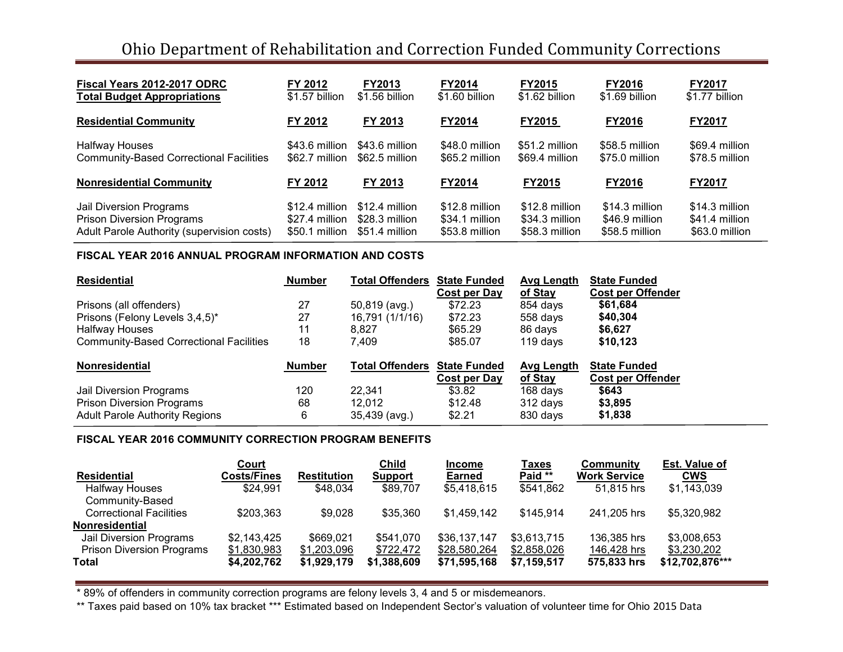# Ohio Department of Rehabilitation and Correction Funded Community Corrections

| Fiscal Years 2012-2017 ODRC                    | FY 2012        | <b>FY2013</b>  | <b>FY2014</b>  | <b>FY2015</b>  | <b>FY2016</b>  | <b>FY2017</b>  |
|------------------------------------------------|----------------|----------------|----------------|----------------|----------------|----------------|
| <b>Total Budget Appropriations</b>             | \$1.57 billion | \$1.56 billion | \$1.60 billion | \$1.62 billion | \$1.69 billion | \$1.77 billion |
| <b>Residential Community</b>                   | FY 2012        | FY 2013        | <b>FY2014</b>  | <b>FY2015</b>  | <b>FY2016</b>  | <b>FY2017</b>  |
| <b>Halfway Houses</b>                          | \$43.6 million | \$43.6 million | \$48.0 million | \$51.2 million | \$58.5 million | \$69.4 million |
| <b>Community-Based Correctional Facilities</b> | \$62.7 million | \$62.5 million | \$65.2 million | \$69.4 million | \$75.0 million | \$78.5 million |
| <b>Nonresidential Community</b>                | FY 2012        | FY 2013        | <b>FY2014</b>  | FY2015         | <b>FY2016</b>  | <b>FY2017</b>  |
| Jail Diversion Programs                        | \$12.4 million | \$12.4 million | \$12.8 million | \$12.8 million | \$14.3 million | \$14.3 million |
| <b>Prison Diversion Programs</b>               | \$27.4 million | \$28.3 million | \$34.1 million | \$34.3 million | \$46.9 million | \$41.4 million |
| Adult Parole Authority (supervision costs)     | \$50.1 million | \$51.4 million | \$53.8 million | \$58.3 million | \$58.5 million | \$63.0 million |

#### **FISCAL YEAR 2016 ANNUAL PROGRAM INFORMATION AND COSTS**

| <b>Residential</b>                             | <b>Number</b> | <b>Total Offenders</b> | <b>State Funded</b><br>Cost per Day | Avg Length<br>of Stay | <b>State Funded</b><br><b>Cost per Offender</b> |
|------------------------------------------------|---------------|------------------------|-------------------------------------|-----------------------|-------------------------------------------------|
| Prisons (all offenders)                        | 27            | 50,819 (avg.)          | \$72.23                             | 854 days              | \$61,684                                        |
| Prisons (Felony Levels 3,4,5)*                 | 27            | 16,791 (1/1/16)        | \$72.23                             | 558 days              | \$40,304                                        |
| <b>Halfway Houses</b>                          | 11            | 8.827                  | \$65.29                             | 86 days               | \$6,627                                         |
| <b>Community-Based Correctional Facilities</b> | 18            | 7.409                  | \$85.07                             | 119 days              | \$10,123                                        |
| <b>Nonresidential</b>                          | <b>Number</b> | <b>Total Offenders</b> | <b>State Funded</b>                 | Avg Length            | <b>State Funded</b>                             |
|                                                |               |                        | Cost per Day                        | of Stay               | <b>Cost per Offender</b>                        |
| Jail Diversion Programs                        | 120           | 22.341                 | \$3.82                              | 168 days              | \$643                                           |
| <b>Prison Diversion Programs</b>               | 68            | 12.012                 | \$12.48                             | 312 days              | \$3,895                                         |
| <b>Adult Parole Authority Regions</b>          | 6             | 35,439 (avg.)          | \$2.21                              | 830 days              | \$1,838                                         |

# **FISCAL YEAR 2016 COMMUNITY CORRECTION PROGRAM BENEFITS**

|                                  | Court              |                    | Child       | <b>Income</b> | Taxes       | Community           | <b>Est. Value of</b> |
|----------------------------------|--------------------|--------------------|-------------|---------------|-------------|---------------------|----------------------|
| <b>Residential</b>               | <b>Costs/Fines</b> | <b>Restitution</b> | Support     | <b>Earned</b> | Paid **     | <b>Work Service</b> | <b>CWS</b>           |
| <b>Halfway Houses</b>            | \$24,991           | \$48.034           | \$89,707    | \$5,418,615   | \$541,862   | 51.815 hrs          | \$1,143,039          |
| Community-Based                  |                    |                    |             |               |             |                     |                      |
| <b>Correctional Facilities</b>   | \$203.363          | \$9,028            | \$35,360    | \$1,459,142   | \$145,914   | 241.205 hrs         | \$5,320,982          |
| <b>Nonresidential</b>            |                    |                    |             |               |             |                     |                      |
| Jail Diversion Programs          | \$2,143,425        | \$669,021          | \$541.070   | \$36,137,147  | \$3,613,715 | 136,385 hrs         | \$3,008,653          |
| <b>Prison Diversion Programs</b> | \$1,830,983        | \$1,203,096        | \$722,472   | \$28,580,264  | \$2,858,026 | 146,428 hrs         | \$3,230,202          |
| Total                            | \$4,202,762        | \$1,929,179        | \$1,388,609 | \$71,595,168  | \$7,159,517 | 575,833 hrs         | \$12,702,876***      |

\* 89% of offenders in community correction programs are felony levels 3, 4 and 5 or misdemeanors.

\*\* Taxes paid based on 10% tax bracket \*\*\* Estimated based on Independent Sector's valuation of volunteer time for Ohio 2015 Data